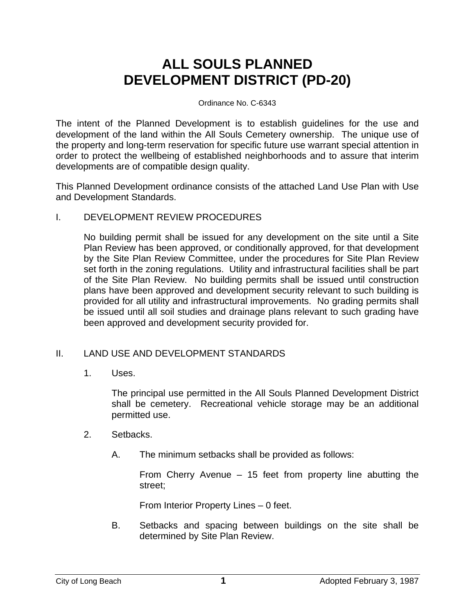## **ALL SOULS PLANNED DEVELOPMENT DISTRICT (PD-20)**

## Ordinance No. C-6343

The intent of the Planned Development is to establish guidelines for the use and development of the land within the All Souls Cemetery ownership. The unique use of the property and long-term reservation for specific future use warrant special attention in order to protect the wellbeing of established neighborhoods and to assure that interim developments are of compatible design quality.

This Planned Development ordinance consists of the attached Land Use Plan with Use and Development Standards.

## I. DEVELOPMENT REVIEW PROCEDURES

No building permit shall be issued for any development on the site until a Site Plan Review has been approved, or conditionally approved, for that development by the Site Plan Review Committee, under the procedures for Site Plan Review set forth in the zoning regulations. Utility and infrastructural facilities shall be part of the Site Plan Review. No building permits shall be issued until construction plans have been approved and development security relevant to such building is provided for all utility and infrastructural improvements. No grading permits shall be issued until all soil studies and drainage plans relevant to such grading have been approved and development security provided for.

## II. LAND USE AND DEVELOPMENT STANDARDS

1. Uses.

The principal use permitted in the All Souls Planned Development District shall be cemetery. Recreational vehicle storage may be an additional permitted use.

- 2. Setbacks.
	- A. The minimum setbacks shall be provided as follows:

From Cherry Avenue – 15 feet from property line abutting the street;

From Interior Property Lines – 0 feet.

B. Setbacks and spacing between buildings on the site shall be determined by Site Plan Review.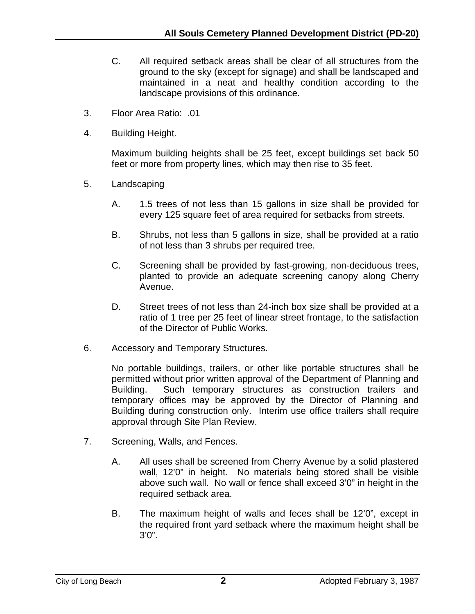- C. All required setback areas shall be clear of all structures from the ground to the sky (except for signage) and shall be landscaped and maintained in a neat and healthy condition according to the landscape provisions of this ordinance.
- 3. Floor Area Ratio: .01
- 4. Building Height.

Maximum building heights shall be 25 feet, except buildings set back 50 feet or more from property lines, which may then rise to 35 feet.

- 5. Landscaping
	- A. 1.5 trees of not less than 15 gallons in size shall be provided for every 125 square feet of area required for setbacks from streets.
	- B. Shrubs, not less than 5 gallons in size, shall be provided at a ratio of not less than 3 shrubs per required tree.
	- C. Screening shall be provided by fast-growing, non-deciduous trees, planted to provide an adequate screening canopy along Cherry Avenue.
	- D. Street trees of not less than 24-inch box size shall be provided at a ratio of 1 tree per 25 feet of linear street frontage, to the satisfaction of the Director of Public Works.
- 6. Accessory and Temporary Structures.

No portable buildings, trailers, or other like portable structures shall be permitted without prior written approval of the Department of Planning and Building. Such temporary structures as construction trailers and temporary offices may be approved by the Director of Planning and Building during construction only. Interim use office trailers shall require approval through Site Plan Review.

- 7. Screening, Walls, and Fences.
	- A. All uses shall be screened from Cherry Avenue by a solid plastered wall, 12'0" in height. No materials being stored shall be visible above such wall. No wall or fence shall exceed 3'0" in height in the required setback area.
	- B. The maximum height of walls and feces shall be 12'0", except in the required front yard setback where the maximum height shall be 3'0".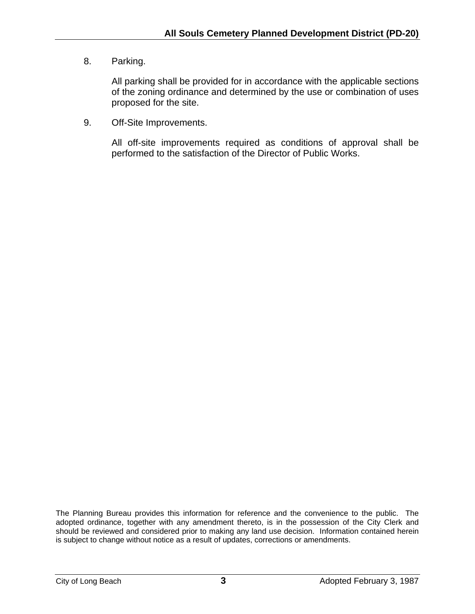8. Parking.

All parking shall be provided for in accordance with the applicable sections of the zoning ordinance and determined by the use or combination of uses proposed for the site.

9. Off-Site Improvements.

All off-site improvements required as conditions of approval shall be performed to the satisfaction of the Director of Public Works.

The Planning Bureau provides this information for reference and the convenience to the public. The adopted ordinance, together with any amendment thereto, is in the possession of the City Clerk and should be reviewed and considered prior to making any land use decision. Information contained herein is subject to change without notice as a result of updates, corrections or amendments.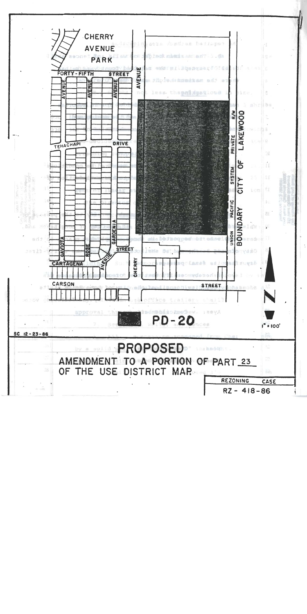